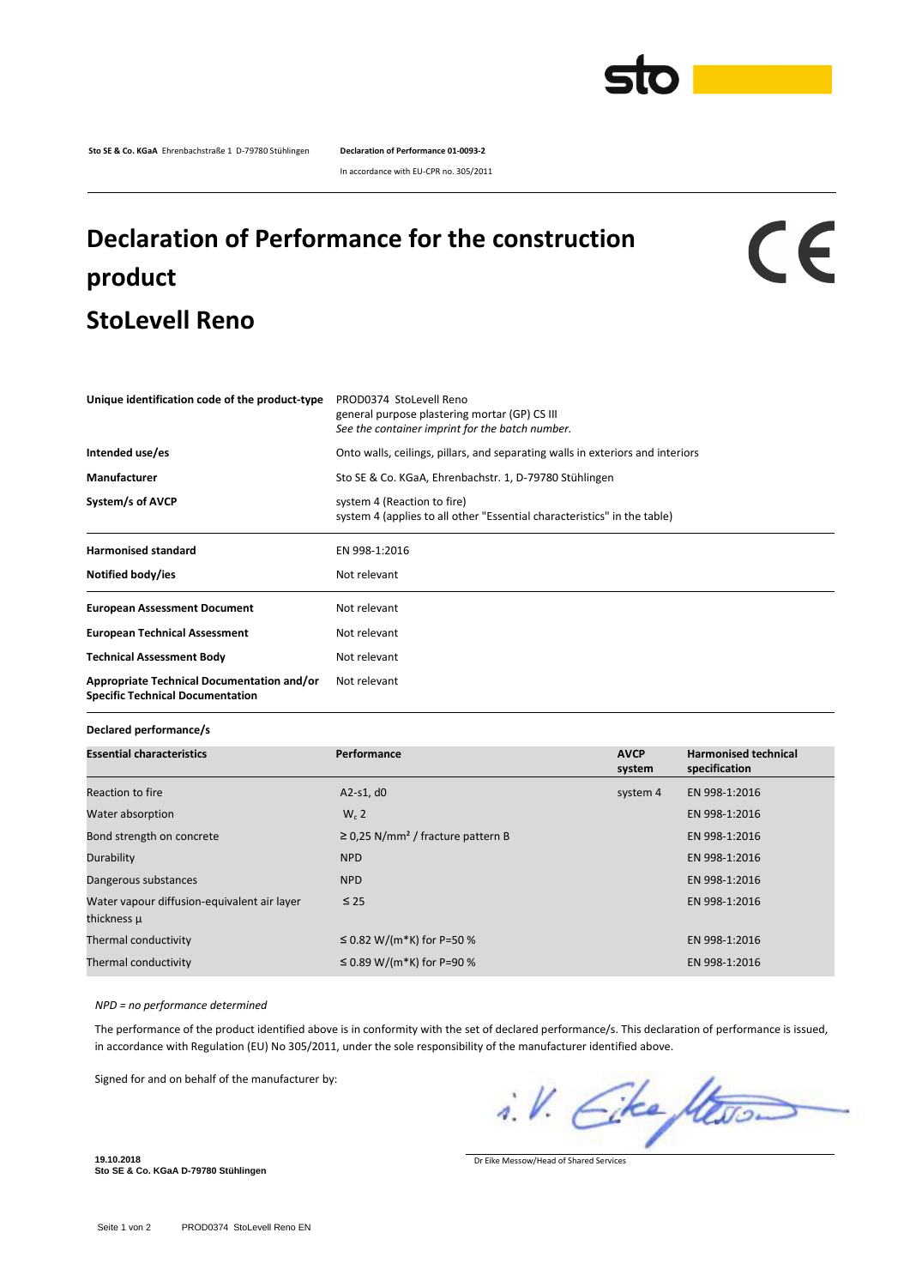

**Sto SE & Co. KGaA** Ehrenbachstraße 1 D-79780 Stühlingen **Declaration of Performance 01-0093-2**

In accordance with EU-CPR no. 305/2011

## **Declaration of Performance for the construction product StoLevell Reno**

## $c\epsilon$

| Unique identification code of the product-type                                        | PROD0374 StoLevell Reno<br>general purpose plastering mortar (GP) CS III<br>See the container imprint for the batch number. |  |  |
|---------------------------------------------------------------------------------------|-----------------------------------------------------------------------------------------------------------------------------|--|--|
| Intended use/es                                                                       | Onto walls, ceilings, pillars, and separating walls in exteriors and interiors                                              |  |  |
| Manufacturer                                                                          | Sto SE & Co. KGaA, Ehrenbachstr. 1, D-79780 Stühlingen                                                                      |  |  |
| System/s of AVCP                                                                      | system 4 (Reaction to fire)<br>system 4 (applies to all other "Essential characteristics" in the table)                     |  |  |
| <b>Harmonised standard</b>                                                            | EN 998-1:2016                                                                                                               |  |  |
| Notified body/ies                                                                     | Not relevant                                                                                                                |  |  |
| <b>European Assessment Document</b>                                                   | Not relevant                                                                                                                |  |  |
| <b>European Technical Assessment</b>                                                  | Not relevant                                                                                                                |  |  |
| <b>Technical Assessment Body</b>                                                      | Not relevant                                                                                                                |  |  |
| Appropriate Technical Documentation and/or<br><b>Specific Technical Documentation</b> | Not relevant                                                                                                                |  |  |

**Declared performance/s**

| <b>Essential characteristics</b>                           | Performance                                        | <b>AVCP</b><br>system | <b>Harmonised technical</b><br>specification |
|------------------------------------------------------------|----------------------------------------------------|-----------------------|----------------------------------------------|
| Reaction to fire                                           | A2-s1, $d0$                                        | system 4              | EN 998-1:2016                                |
| Water absorption                                           | $W_c$ 2                                            |                       | EN 998-1:2016                                |
| Bond strength on concrete                                  | $\geq$ 0,25 N/mm <sup>2</sup> / fracture pattern B |                       | EN 998-1:2016                                |
| Durability                                                 | <b>NPD</b>                                         |                       | EN 998-1:2016                                |
| Dangerous substances                                       | <b>NPD</b>                                         |                       | EN 998-1:2016                                |
| Water vapour diffusion-equivalent air layer<br>thickness µ | $\leq 25$                                          |                       | EN 998-1:2016                                |
| Thermal conductivity                                       | ≤ 0.82 W/(m*K) for P=50 %                          |                       | EN 998-1:2016                                |
| Thermal conductivity                                       | ≤ 0.89 W/(m*K) for P=90 %                          |                       | EN 998-1:2016                                |

*NPD = no performance determined*

The performance of the product identified above is in conformity with the set of declared performance/s. This declaration of performance is issued, in accordance with Regulation (EU) No 305/2011, under the sole responsibility of the manufacturer identified above.

Signed for and on behalf of the manufacturer by:

i.V. Eke Stevon

Dr Eike Messow/Head of Shared Services

**19.10.2018 Sto SE & Co. KGaA D-79780 Stühlingen**